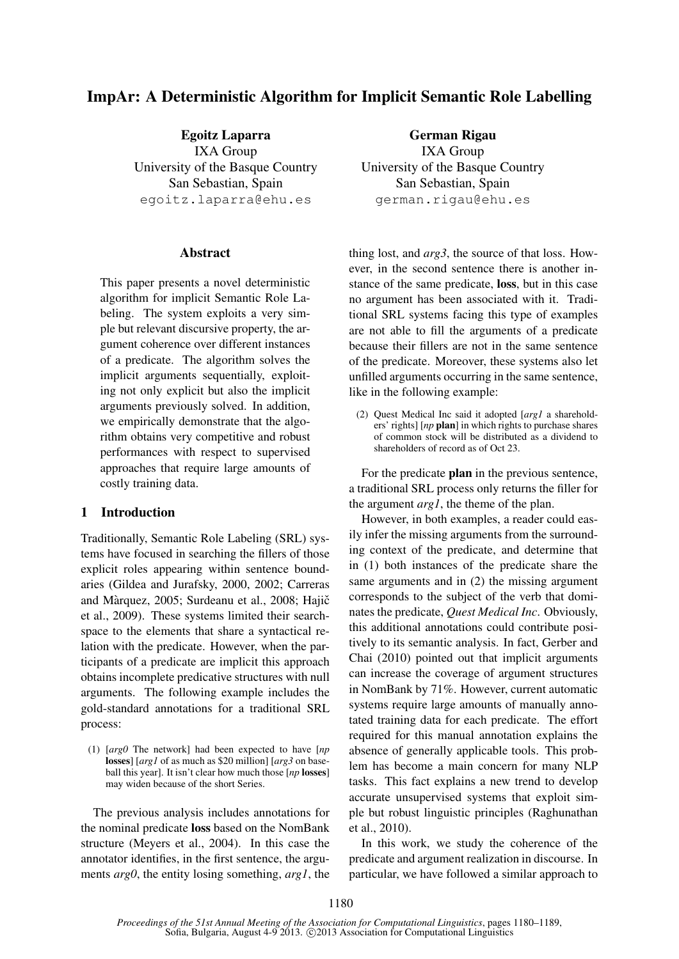# ImpAr: A Deterministic Algorithm for Implicit Semantic Role Labelling

Egoitz Laparra IXA Group University of the Basque Country San Sebastian, Spain egoitz.laparra@ehu.es

#### Abstract

This paper presents a novel deterministic algorithm for implicit Semantic Role Labeling. The system exploits a very simple but relevant discursive property, the argument coherence over different instances of a predicate. The algorithm solves the implicit arguments sequentially, exploiting not only explicit but also the implicit arguments previously solved. In addition, we empirically demonstrate that the algorithm obtains very competitive and robust performances with respect to supervised approaches that require large amounts of costly training data.

### 1 Introduction

Traditionally, Semantic Role Labeling (SRL) systems have focused in searching the fillers of those explicit roles appearing within sentence boundaries (Gildea and Jurafsky, 2000, 2002; Carreras and Màrquez, 2005; Surdeanu et al., 2008; Hajič et al., 2009). These systems limited their searchspace to the elements that share a syntactical relation with the predicate. However, when the participants of a predicate are implicit this approach obtains incomplete predicative structures with null arguments. The following example includes the gold-standard annotations for a traditional SRL process:

(1) [*arg0* The network] had been expected to have [*np* losses] [*arg1* of as much as \$20 million] [*arg3* on baseball this year]. It isn't clear how much those [*np* losses] may widen because of the short Series.

The previous analysis includes annotations for the nominal predicate loss based on the NomBank structure (Meyers et al., 2004). In this case the annotator identifies, in the first sentence, the arguments *arg0*, the entity losing something, *arg1*, the

German Rigau IXA Group University of the Basque Country San Sebastian, Spain german.rigau@ehu.es

thing lost, and *arg3*, the source of that loss. However, in the second sentence there is another instance of the same predicate, loss, but in this case no argument has been associated with it. Traditional SRL systems facing this type of examples are not able to fill the arguments of a predicate because their fillers are not in the same sentence of the predicate. Moreover, these systems also let unfilled arguments occurring in the same sentence, like in the following example:

(2) Quest Medical Inc said it adopted [*arg1* a shareholders' rights] [*np* plan] in which rights to purchase shares of common stock will be distributed as a dividend to shareholders of record as of Oct 23.

For the predicate plan in the previous sentence, a traditional SRL process only returns the filler for the argument *arg1*, the theme of the plan.

However, in both examples, a reader could easily infer the missing arguments from the surrounding context of the predicate, and determine that in (1) both instances of the predicate share the same arguments and in (2) the missing argument corresponds to the subject of the verb that dominates the predicate, *Quest Medical Inc*. Obviously, this additional annotations could contribute positively to its semantic analysis. In fact, Gerber and Chai (2010) pointed out that implicit arguments can increase the coverage of argument structures in NomBank by 71%. However, current automatic systems require large amounts of manually annotated training data for each predicate. The effort required for this manual annotation explains the absence of generally applicable tools. This problem has become a main concern for many NLP tasks. This fact explains a new trend to develop accurate unsupervised systems that exploit simple but robust linguistic principles (Raghunathan et al., 2010).

In this work, we study the coherence of the predicate and argument realization in discourse. In particular, we have followed a similar approach to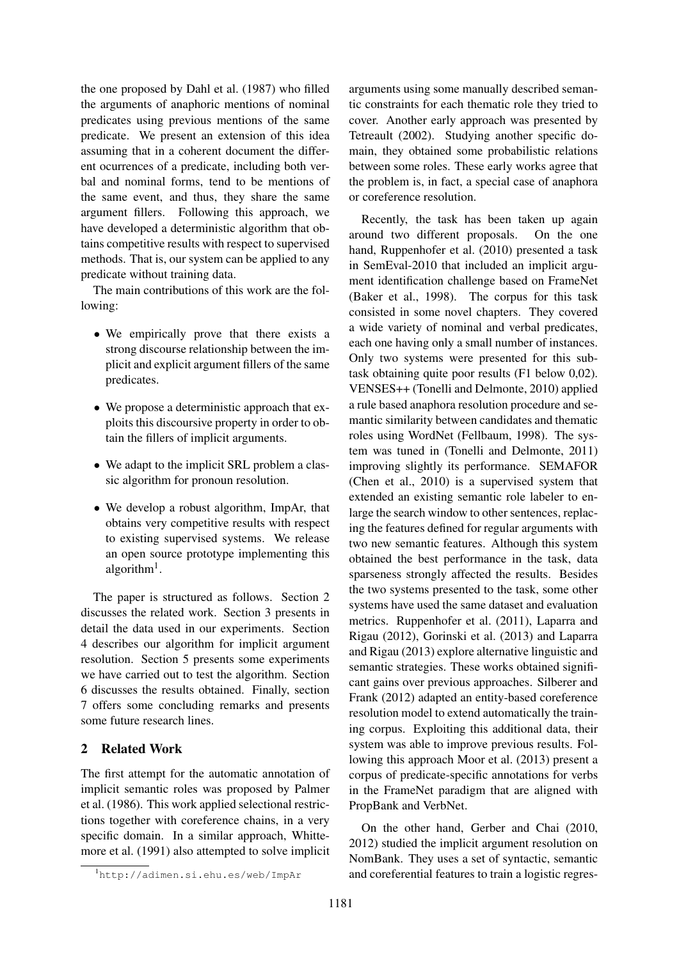the one proposed by Dahl et al. (1987) who filled the arguments of anaphoric mentions of nominal predicates using previous mentions of the same predicate. We present an extension of this idea assuming that in a coherent document the different ocurrences of a predicate, including both verbal and nominal forms, tend to be mentions of the same event, and thus, they share the same argument fillers. Following this approach, we have developed a deterministic algorithm that obtains competitive results with respect to supervised methods. That is, our system can be applied to any predicate without training data.

The main contributions of this work are the following:

- We empirically prove that there exists a strong discourse relationship between the implicit and explicit argument fillers of the same predicates.
- We propose a deterministic approach that exploits this discoursive property in order to obtain the fillers of implicit arguments.
- We adapt to the implicit SRL problem a classic algorithm for pronoun resolution.
- We develop a robust algorithm, ImpAr, that obtains very competitive results with respect to existing supervised systems. We release an open source prototype implementing this algorithm<sup>1</sup>.

The paper is structured as follows. Section 2 discusses the related work. Section 3 presents in detail the data used in our experiments. Section 4 describes our algorithm for implicit argument resolution. Section 5 presents some experiments we have carried out to test the algorithm. Section 6 discusses the results obtained. Finally, section 7 offers some concluding remarks and presents some future research lines.

### 2 Related Work

The first attempt for the automatic annotation of implicit semantic roles was proposed by Palmer et al. (1986). This work applied selectional restrictions together with coreference chains, in a very specific domain. In a similar approach, Whittemore et al. (1991) also attempted to solve implicit arguments using some manually described semantic constraints for each thematic role they tried to cover. Another early approach was presented by Tetreault (2002). Studying another specific domain, they obtained some probabilistic relations between some roles. These early works agree that the problem is, in fact, a special case of anaphora or coreference resolution.

Recently, the task has been taken up again around two different proposals. On the one hand, Ruppenhofer et al. (2010) presented a task in SemEval-2010 that included an implicit argument identification challenge based on FrameNet (Baker et al., 1998). The corpus for this task consisted in some novel chapters. They covered a wide variety of nominal and verbal predicates, each one having only a small number of instances. Only two systems were presented for this subtask obtaining quite poor results (F1 below 0,02). VENSES++ (Tonelli and Delmonte, 2010) applied a rule based anaphora resolution procedure and semantic similarity between candidates and thematic roles using WordNet (Fellbaum, 1998). The system was tuned in (Tonelli and Delmonte, 2011) improving slightly its performance. SEMAFOR (Chen et al., 2010) is a supervised system that extended an existing semantic role labeler to enlarge the search window to other sentences, replacing the features defined for regular arguments with two new semantic features. Although this system obtained the best performance in the task, data sparseness strongly affected the results. Besides the two systems presented to the task, some other systems have used the same dataset and evaluation metrics. Ruppenhofer et al. (2011), Laparra and Rigau (2012), Gorinski et al. (2013) and Laparra and Rigau (2013) explore alternative linguistic and semantic strategies. These works obtained significant gains over previous approaches. Silberer and Frank (2012) adapted an entity-based coreference resolution model to extend automatically the training corpus. Exploiting this additional data, their system was able to improve previous results. Following this approach Moor et al. (2013) present a corpus of predicate-specific annotations for verbs in the FrameNet paradigm that are aligned with PropBank and VerbNet.

On the other hand, Gerber and Chai (2010, 2012) studied the implicit argument resolution on NomBank. They uses a set of syntactic, semantic and coreferential features to train a logistic regres-

<sup>1</sup>http://adimen.si.ehu.es/web/ImpAr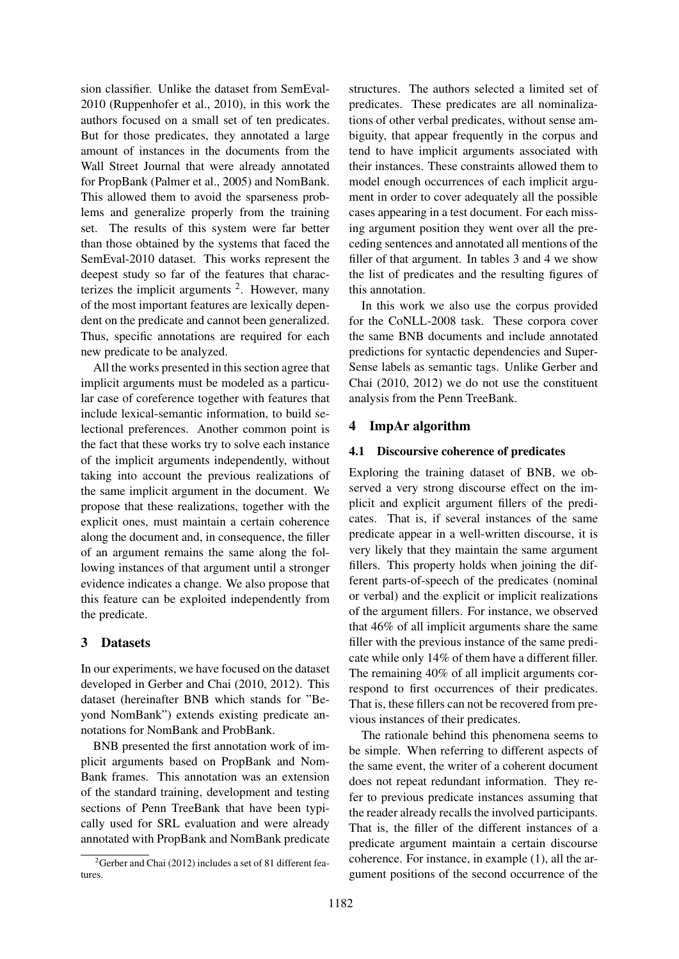sion classifier. Unlike the dataset from SemEval-2010 (Ruppenhofer et al., 2010), in this work the authors focused on a small set of ten predicates. But for those predicates, they annotated a large amount of instances in the documents from the Wall Street Journal that were already annotated for PropBank (Palmer et al., 2005) and NomBank. This allowed them to avoid the sparseness problems and generalize properly from the training set. The results of this system were far better than those obtained by the systems that faced the SemEval-2010 dataset. This works represent the deepest study so far of the features that characterizes the implicit arguments  $2$ . However, many of the most important features are lexically dependent on the predicate and cannot been generalized. Thus, specific annotations are required for each new predicate to be analyzed.

All the works presented in this section agree that implicit arguments must be modeled as a particular case of coreference together with features that include lexical-semantic information, to build selectional preferences. Another common point is the fact that these works try to solve each instance of the implicit arguments independently, without taking into account the previous realizations of the same implicit argument in the document. We propose that these realizations, together with the explicit ones, must maintain a certain coherence along the document and, in consequence, the filler of an argument remains the same along the following instances of that argument until a stronger evidence indicates a change. We also propose that this feature can be exploited independently from the predicate.

### 3 Datasets

In our experiments, we have focused on the dataset developed in Gerber and Chai (2010, 2012). This dataset (hereinafter BNB which stands for "Beyond NomBank") extends existing predicate annotations for NomBank and ProbBank.

BNB presented the first annotation work of implicit arguments based on PropBank and Nom-Bank frames. This annotation was an extension of the standard training, development and testing sections of Penn TreeBank that have been typically used for SRL evaluation and were already annotated with PropBank and NomBank predicate

structures. The authors selected a limited set of predicates. These predicates are all nominalizations of other verbal predicates, without sense ambiguity, that appear frequently in the corpus and tend to have implicit arguments associated with their instances. These constraints allowed them to model enough occurrences of each implicit argument in order to cover adequately all the possible cases appearing in a test document. For each missing argument position they went over all the preceding sentences and annotated all mentions of the filler of that argument. In tables 3 and 4 we show the list of predicates and the resulting figures of this annotation.

In this work we also use the corpus provided for the CoNLL-2008 task. These corpora cover the same BNB documents and include annotated predictions for syntactic dependencies and Super-Sense labels as semantic tags. Unlike Gerber and Chai (2010, 2012) we do not use the constituent analysis from the Penn TreeBank.

## 4 ImpAr algorithm

### 4.1 Discoursive coherence of predicates

Exploring the training dataset of BNB, we observed a very strong discourse effect on the implicit and explicit argument fillers of the predicates. That is, if several instances of the same predicate appear in a well-written discourse, it is very likely that they maintain the same argument fillers. This property holds when joining the different parts-of-speech of the predicates (nominal or verbal) and the explicit or implicit realizations of the argument fillers. For instance, we observed that 46% of all implicit arguments share the same filler with the previous instance of the same predicate while only 14% of them have a different filler. The remaining 40% of all implicit arguments correspond to first occurrences of their predicates. That is, these fillers can not be recovered from previous instances of their predicates.

The rationale behind this phenomena seems to be simple. When referring to different aspects of the same event, the writer of a coherent document does not repeat redundant information. They refer to previous predicate instances assuming that the reader already recalls the involved participants. That is, the filler of the different instances of a predicate argument maintain a certain discourse coherence. For instance, in example (1), all the argument positions of the second occurrence of the

<sup>&</sup>lt;sup>2</sup>Gerber and Chai (2012) includes a set of 81 different features.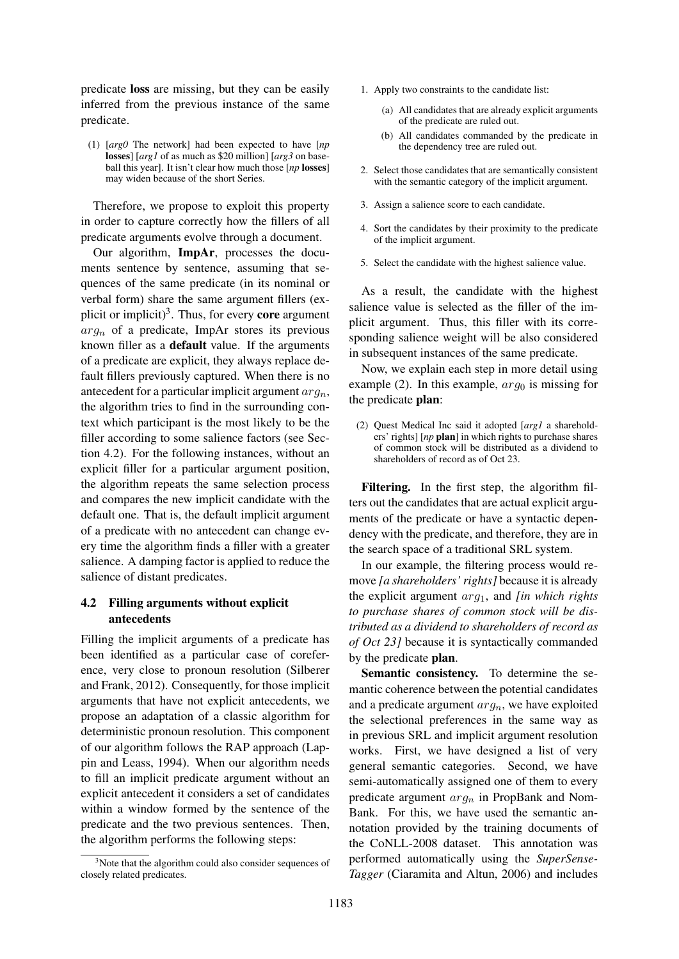predicate loss are missing, but they can be easily inferred from the previous instance of the same predicate.

(1) [*arg0* The network] had been expected to have [*np* losses] [*arg1* of as much as \$20 million] [*arg3* on baseball this year]. It isn't clear how much those [*np* losses] may widen because of the short Series.

Therefore, we propose to exploit this property in order to capture correctly how the fillers of all predicate arguments evolve through a document.

Our algorithm, ImpAr, processes the documents sentence by sentence, assuming that sequences of the same predicate (in its nominal or verbal form) share the same argument fillers (explicit or implicit)<sup>3</sup>. Thus, for every **core** argument  $arg_n$  of a predicate, ImpAr stores its previous known filler as a default value. If the arguments of a predicate are explicit, they always replace default fillers previously captured. When there is no antecedent for a particular implicit argument  $arg_n$ , the algorithm tries to find in the surrounding context which participant is the most likely to be the filler according to some salience factors (see Section 4.2). For the following instances, without an explicit filler for a particular argument position, the algorithm repeats the same selection process and compares the new implicit candidate with the default one. That is, the default implicit argument of a predicate with no antecedent can change every time the algorithm finds a filler with a greater salience. A damping factor is applied to reduce the salience of distant predicates.

### 4.2 Filling arguments without explicit antecedents

Filling the implicit arguments of a predicate has been identified as a particular case of coreference, very close to pronoun resolution (Silberer and Frank, 2012). Consequently, for those implicit arguments that have not explicit antecedents, we propose an adaptation of a classic algorithm for deterministic pronoun resolution. This component of our algorithm follows the RAP approach (Lappin and Leass, 1994). When our algorithm needs to fill an implicit predicate argument without an explicit antecedent it considers a set of candidates within a window formed by the sentence of the predicate and the two previous sentences. Then, the algorithm performs the following steps:

- 1. Apply two constraints to the candidate list:
	- (a) All candidates that are already explicit arguments of the predicate are ruled out.
	- (b) All candidates commanded by the predicate in the dependency tree are ruled out.
- 2. Select those candidates that are semantically consistent with the semantic category of the implicit argument.
- 3. Assign a salience score to each candidate.
- 4. Sort the candidates by their proximity to the predicate of the implicit argument.
- 5. Select the candidate with the highest salience value.

As a result, the candidate with the highest salience value is selected as the filler of the implicit argument. Thus, this filler with its corresponding salience weight will be also considered in subsequent instances of the same predicate.

Now, we explain each step in more detail using example (2). In this example,  $arg_0$  is missing for the predicate plan:

(2) Quest Medical Inc said it adopted [*arg1* a shareholders' rights] [*np* plan] in which rights to purchase shares of common stock will be distributed as a dividend to shareholders of record as of Oct 23.

Filtering. In the first step, the algorithm filters out the candidates that are actual explicit arguments of the predicate or have a syntactic dependency with the predicate, and therefore, they are in the search space of a traditional SRL system.

In our example, the filtering process would remove *[a shareholders' rights]* because it is already the explicit argument arg1, and *[in which rights to purchase shares of common stock will be distributed as a dividend to shareholders of record as of Oct 23]* because it is syntactically commanded by the predicate plan.

Semantic consistency. To determine the semantic coherence between the potential candidates and a predicate argument  $arg_n$ , we have exploited the selectional preferences in the same way as in previous SRL and implicit argument resolution works. First, we have designed a list of very general semantic categories. Second, we have semi-automatically assigned one of them to every predicate argument  $arg_n$  in PropBank and Nom-Bank. For this, we have used the semantic annotation provided by the training documents of the CoNLL-2008 dataset. This annotation was performed automatically using the *SuperSense-Tagger* (Ciaramita and Altun, 2006) and includes

 $3$ Note that the algorithm could also consider sequences of closely related predicates.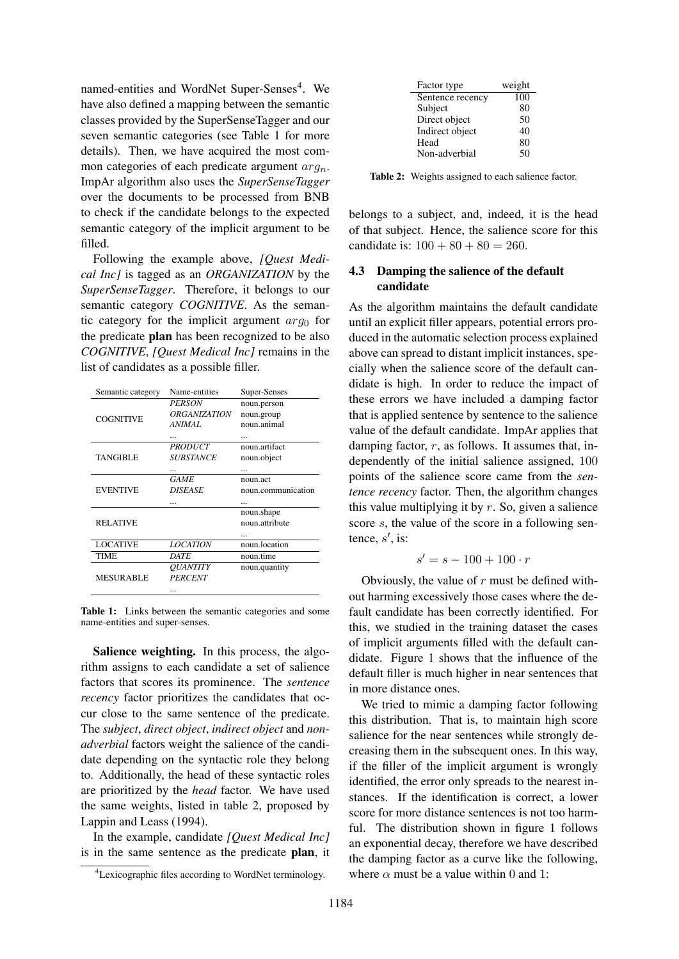named-entities and WordNet Super-Senses<sup>4</sup>. We have also defined a mapping between the semantic classes provided by the SuperSenseTagger and our seven semantic categories (see Table 1 for more details). Then, we have acquired the most common categories of each predicate argument  $arg_n$ . ImpAr algorithm also uses the *SuperSenseTagger* over the documents to be processed from BNB to check if the candidate belongs to the expected semantic category of the implicit argument to be filled.

Following the example above, *[Quest Medical Inc]* is tagged as an *ORGANIZATION* by the *SuperSenseTagger*. Therefore, it belongs to our semantic category *COGNITIVE*. As the semantic category for the implicit argument  $arg_0$  for the predicate plan has been recognized to be also *COGNITIVE*, *[Quest Medical Inc]* remains in the list of candidates as a possible filler.

| Semantic category | Name-entities              | Super-Senses       |
|-------------------|----------------------------|--------------------|
|                   | <b>PERSON</b>              | noun.person        |
|                   | <i><b>ORGANIZATION</b></i> | noun.group         |
| <b>COGNITIVE</b>  | ANIMAL                     | noun animal        |
|                   |                            |                    |
|                   | <b>PRODUCT</b>             | noun artifact      |
| <b>TANGIBLE</b>   | <b>SUBSTANCE</b>           | noun.object        |
|                   |                            |                    |
|                   | <b>GAME</b>                | noun act           |
| <b>EVENTIVE</b>   | <b>DISEASE</b>             | noun.communication |
|                   |                            |                    |
|                   |                            | noun.shape         |
| <b>RELATIVE</b>   |                            | noun.attribute     |
|                   |                            |                    |
| <b>LOCATIVE</b>   | <b>LOCATION</b>            | noun.location      |
| <b>TIME</b>       | DATE                       | noun time          |
|                   | <i><b>OUANTITY</b></i>     | noun.quantity      |
| <b>MESURABLE</b>  | <b>PERCENT</b>             |                    |
|                   |                            |                    |

Table 1: Links between the semantic categories and some name-entities and super-senses.

Salience weighting. In this process, the algorithm assigns to each candidate a set of salience factors that scores its prominence. The *sentence recency* factor prioritizes the candidates that occur close to the same sentence of the predicate. The *subject*, *direct object*, *indirect object* and *nonadverbial* factors weight the salience of the candidate depending on the syntactic role they belong to. Additionally, the head of these syntactic roles are prioritized by the *head* factor. We have used the same weights, listed in table 2, proposed by Lappin and Leass (1994).

In the example, candidate *[Quest Medical Inc]* is in the same sentence as the predicate plan, it

| Factor type      | weight |
|------------------|--------|
| Sentence recency | 100    |
| Subject          | 80     |
| Direct object    | 50     |
| Indirect object  | 40     |
| Head             | 80     |
| Non-adverbial    | 50     |

Table 2: Weights assigned to each salience factor.

belongs to a subject, and, indeed, it is the head of that subject. Hence, the salience score for this candidate is:  $100 + 80 + 80 = 260$ .

### 4.3 Damping the salience of the default candidate

As the algorithm maintains the default candidate until an explicit filler appears, potential errors produced in the automatic selection process explained above can spread to distant implicit instances, specially when the salience score of the default candidate is high. In order to reduce the impact of these errors we have included a damping factor that is applied sentence by sentence to the salience value of the default candidate. ImpAr applies that damping factor,  $r$ , as follows. It assumes that, independently of the initial salience assigned, 100 points of the salience score came from the *sentence recency* factor. Then, the algorithm changes this value multiplying it by  $r$ . So, given a salience score s, the value of the score in a following sentence,  $s'$ , is:

$$
s' = s - 100 + 100 \cdot r
$$

Obviously, the value of  $r$  must be defined without harming excessively those cases where the default candidate has been correctly identified. For this, we studied in the training dataset the cases of implicit arguments filled with the default candidate. Figure 1 shows that the influence of the default filler is much higher in near sentences that in more distance ones.

We tried to mimic a damping factor following this distribution. That is, to maintain high score salience for the near sentences while strongly decreasing them in the subsequent ones. In this way, if the filler of the implicit argument is wrongly identified, the error only spreads to the nearest instances. If the identification is correct, a lower score for more distance sentences is not too harmful. The distribution shown in figure 1 follows an exponential decay, therefore we have described the damping factor as a curve like the following, where  $\alpha$  must be a value within 0 and 1:

<sup>4</sup>Lexicographic files according to WordNet terminology.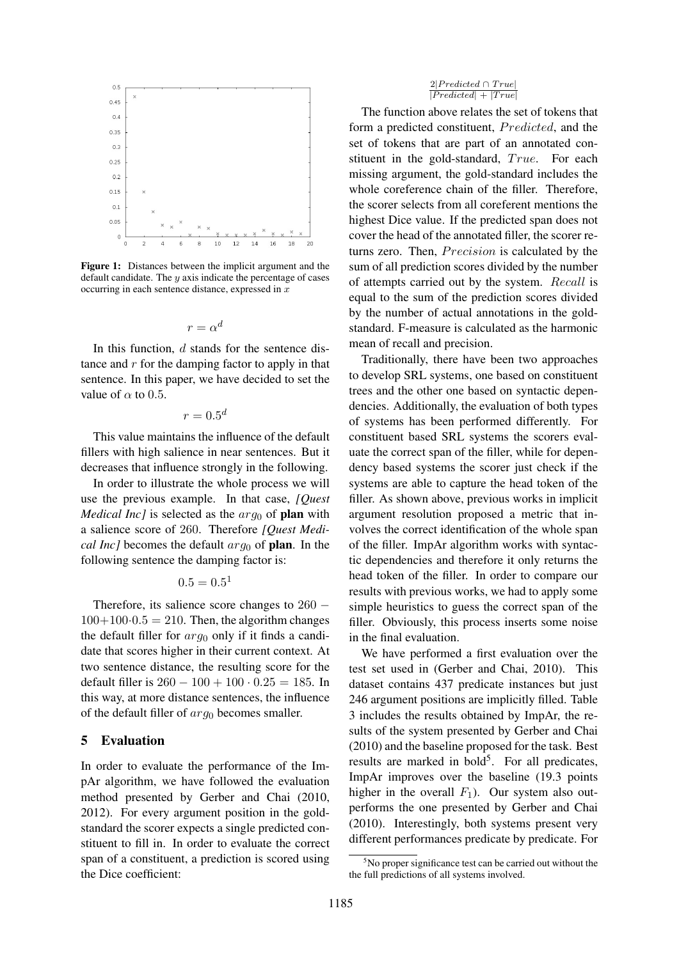

Figure 1: Distances between the implicit argument and the default candidate. The  $y$  axis indicate the percentage of cases occurring in each sentence distance, expressed in  $x$ 

$$
r = \alpha^d
$$

In this function, d stands for the sentence distance and  $r$  for the damping factor to apply in that sentence. In this paper, we have decided to set the value of  $\alpha$  to 0.5.

 $r = 0.5^d$ 

This value maintains the influence of the default fillers with high salience in near sentences. But it decreases that influence strongly in the following.

In order to illustrate the whole process we will use the previous example. In that case, *[Quest Medical Inc]* is selected as the  $arg_0$  of **plan** with a salience score of 260. Therefore *[Quest Medical Inc]* becomes the default  $arg_0$  of **plan**. In the following sentence the damping factor is:

$$
0.5=0.5^1
$$

Therefore, its salience score changes to 260 −  $100+100\cdot0.5 = 210$ . Then, the algorithm changes the default filler for  $arg_0$  only if it finds a candidate that scores higher in their current context. At two sentence distance, the resulting score for the default filler is  $260 - 100 + 100 \cdot 0.25 = 185$ . In this way, at more distance sentences, the influence of the default filler of  $arg_0$  becomes smaller.

#### 5 Evaluation

In order to evaluate the performance of the ImpAr algorithm, we have followed the evaluation method presented by Gerber and Chai (2010, 2012). For every argument position in the goldstandard the scorer expects a single predicted constituent to fill in. In order to evaluate the correct span of a constituent, a prediction is scored using the Dice coefficient:

#### $2|Predicted \cap True|$  $\frac{Z_1 + Z_2}{|Predicted| + |True|}$

The function above relates the set of tokens that form a predicted constituent, *Predicted*, and the set of tokens that are part of an annotated constituent in the gold-standard, True. For each missing argument, the gold-standard includes the whole coreference chain of the filler. Therefore, the scorer selects from all coreferent mentions the highest Dice value. If the predicted span does not cover the head of the annotated filler, the scorer returns zero. Then, *Precision* is calculated by the sum of all prediction scores divided by the number of attempts carried out by the system. Recall is equal to the sum of the prediction scores divided by the number of actual annotations in the goldstandard. F-measure is calculated as the harmonic mean of recall and precision.

Traditionally, there have been two approaches to develop SRL systems, one based on constituent trees and the other one based on syntactic dependencies. Additionally, the evaluation of both types of systems has been performed differently. For constituent based SRL systems the scorers evaluate the correct span of the filler, while for dependency based systems the scorer just check if the systems are able to capture the head token of the filler. As shown above, previous works in implicit argument resolution proposed a metric that involves the correct identification of the whole span of the filler. ImpAr algorithm works with syntactic dependencies and therefore it only returns the head token of the filler. In order to compare our results with previous works, we had to apply some simple heuristics to guess the correct span of the filler. Obviously, this process inserts some noise in the final evaluation.

We have performed a first evaluation over the test set used in (Gerber and Chai, 2010). This dataset contains 437 predicate instances but just 246 argument positions are implicitly filled. Table 3 includes the results obtained by ImpAr, the results of the system presented by Gerber and Chai (2010) and the baseline proposed for the task. Best results are marked in bold<sup>5</sup>. For all predicates, ImpAr improves over the baseline (19.3 points higher in the overall  $F_1$ ). Our system also outperforms the one presented by Gerber and Chai (2010). Interestingly, both systems present very different performances predicate by predicate. For

 $5$ No proper significance test can be carried out without the the full predictions of all systems involved.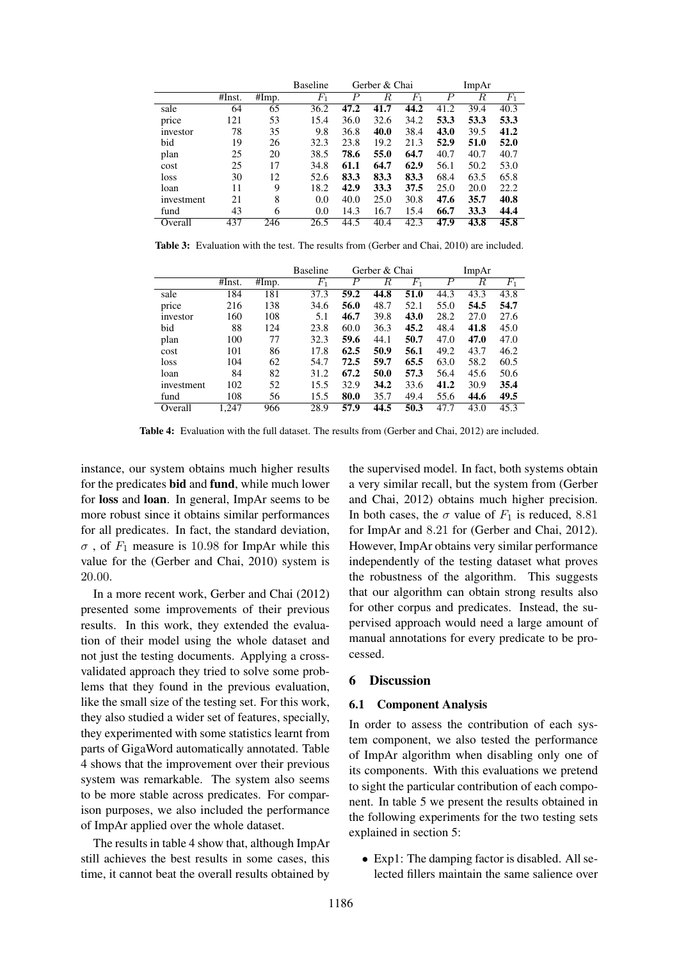|            |        |       | <b>Baseline</b> | Gerber & Chai |      | ImpAr |      |      |       |
|------------|--------|-------|-----------------|---------------|------|-------|------|------|-------|
|            | #Inst. | #Imp. | $F_1$           | Р             | R    | $F_1$ | Р    | R    | $F_1$ |
| sale       | 64     | 65    | 36.2            | 47.2          | 41.7 | 44.2  | 41.2 | 39.4 | 40.3  |
| price      | 121    | 53    | 15.4            | 36.0          | 32.6 | 34.2  | 53.3 | 53.3 | 53.3  |
| investor   | 78     | 35    | 9.8             | 36.8          | 40.0 | 38.4  | 43.0 | 39.5 | 41.2  |
| bid        | 19     | 26    | 32.3            | 23.8          | 19.2 | 21.3  | 52.9 | 51.0 | 52.0  |
| plan       | 25     | 20    | 38.5            | 78.6          | 55.0 | 64.7  | 40.7 | 40.7 | 40.7  |
| cost       | 25     | 17    | 34.8            | 61.1          | 64.7 | 62.9  | 56.1 | 50.2 | 53.0  |
| loss       | 30     | 12    | 52.6            | 83.3          | 83.3 | 83.3  | 68.4 | 63.5 | 65.8  |
| loan       | 11     | 9     | 18.2            | 42.9          | 33.3 | 37.5  | 25.0 | 20.0 | 22.2  |
| investment | 21     | 8     | 0.0             | 40.0          | 25.0 | 30.8  | 47.6 | 35.7 | 40.8  |
| fund       | 43     | 6     | 0.0             | 14.3          | 16.7 | 15.4  | 66.7 | 33.3 | 44.4  |
| Overall    | 437    | 246   | 26.5            | 44.5          | 40.4 | 42.3  | 47.9 | 43.8 | 45.8  |

Table 3: Evaluation with the test. The results from (Gerber and Chai, 2010) are included.

|            |        |       | <b>Baseline</b> | Gerber & Chai |      | ImpAr   |      |      |         |
|------------|--------|-------|-----------------|---------------|------|---------|------|------|---------|
|            | #Inst. | #Imp. | $F_1$           | Р             | R    | $F_{1}$ | P    | R    | $F_{1}$ |
| sale       | 184    | 181   | 37.3            | 59.2          | 44.8 | 51.0    | 44.3 | 43.3 | 43.8    |
| price      | 216    | 138   | 34.6            | 56.0          | 48.7 | 52.1    | 55.0 | 54.5 | 54.7    |
| investor   | 160    | 108   | 5.1             | 46.7          | 39.8 | 43.0    | 28.2 | 27.0 | 27.6    |
| bid        | 88     | 124   | 23.8            | 60.0          | 36.3 | 45.2    | 48.4 | 41.8 | 45.0    |
| plan       | 100    | 77    | 32.3            | 59.6          | 44.1 | 50.7    | 47.0 | 47.0 | 47.0    |
| cost       | 101    | 86    | 17.8            | 62.5          | 50.9 | 56.1    | 49.2 | 43.7 | 46.2    |
| loss       | 104    | 62    | 54.7            | 72.5          | 59.7 | 65.5    | 63.0 | 58.2 | 60.5    |
| loan       | 84     | 82    | 31.2            | 67.2          | 50.0 | 57.3    | 56.4 | 45.6 | 50.6    |
| investment | 102    | 52    | 15.5            | 32.9          | 34.2 | 33.6    | 41.2 | 30.9 | 35.4    |
| fund       | 108    | 56    | 15.5            | 80.0          | 35.7 | 49.4    | 55.6 | 44.6 | 49.5    |
| Overall    | 1,247  | 966   | 28.9            | 57.9          | 44.5 | 50.3    | 47.7 | 43.0 | 45.3    |

Table 4: Evaluation with the full dataset. The results from (Gerber and Chai, 2012) are included.

instance, our system obtains much higher results for the predicates bid and fund, while much lower for loss and loan. In general, ImpAr seems to be more robust since it obtains similar performances for all predicates. In fact, the standard deviation,  $\sigma$ , of  $F_1$  measure is 10.98 for ImpAr while this value for the (Gerber and Chai, 2010) system is 20.00.

In a more recent work, Gerber and Chai (2012) presented some improvements of their previous results. In this work, they extended the evaluation of their model using the whole dataset and not just the testing documents. Applying a crossvalidated approach they tried to solve some problems that they found in the previous evaluation, like the small size of the testing set. For this work, they also studied a wider set of features, specially, they experimented with some statistics learnt from parts of GigaWord automatically annotated. Table 4 shows that the improvement over their previous system was remarkable. The system also seems to be more stable across predicates. For comparison purposes, we also included the performance of ImpAr applied over the whole dataset.

The results in table 4 show that, although ImpAr still achieves the best results in some cases, this time, it cannot beat the overall results obtained by the supervised model. In fact, both systems obtain a very similar recall, but the system from (Gerber and Chai, 2012) obtains much higher precision. In both cases, the  $\sigma$  value of  $F_1$  is reduced, 8.81 for ImpAr and 8.21 for (Gerber and Chai, 2012). However, ImpAr obtains very similar performance independently of the testing dataset what proves the robustness of the algorithm. This suggests that our algorithm can obtain strong results also for other corpus and predicates. Instead, the supervised approach would need a large amount of manual annotations for every predicate to be processed.

#### 6 Discussion

### 6.1 Component Analysis

In order to assess the contribution of each system component, we also tested the performance of ImpAr algorithm when disabling only one of its components. With this evaluations we pretend to sight the particular contribution of each component. In table 5 we present the results obtained in the following experiments for the two testing sets explained in section 5:

• Exp1: The damping factor is disabled. All selected fillers maintain the same salience over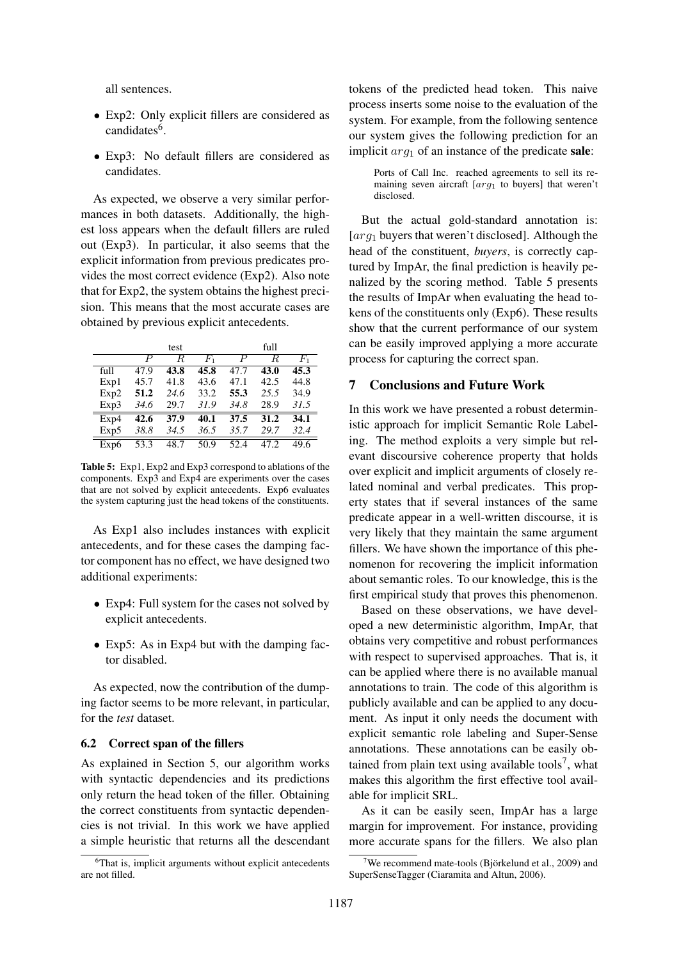all sentences.

- Exp2: Only explicit fillers are considered as candidates<sup>6</sup>.
- Exp3: No default fillers are considered as candidates.

As expected, we observe a very similar performances in both datasets. Additionally, the highest loss appears when the default fillers are ruled out (Exp3). In particular, it also seems that the explicit information from previous predicates provides the most correct evidence (Exp2). Also note that for Exp2, the system obtains the highest precision. This means that the most accurate cases are obtained by previous explicit antecedents.

|      |                  | test |       |      | full |       |
|------|------------------|------|-------|------|------|-------|
|      | $\boldsymbol{P}$ | R    | $F_1$ | Р    | R.   | $F_1$ |
| full | 47.9             | 43.8 | 45.8  | 47.7 | 43.0 | 45.3  |
| Exp1 | 45.7             | 41.8 | 43.6  | 47.1 | 42.5 | 44.8  |
| Exp2 | 51.2             | 24.6 | 33.2  | 55.3 | 25.5 | 34.9  |
| Exp3 | 34.6             | 29.7 | 31.9  | 34.8 | 28.9 | 31.5  |
| Exp4 | 42.6             | 37.9 | 40.1  | 37.5 | 31.2 | 34.1  |
| Exp5 | 38.8             | 34.5 | 36.5  | 35.7 | 29.7 | 32.4  |
| Exp6 | 53.3             | 48.7 | 50.9  | 52.4 | 47 Z | 49.6  |

Table 5: Exp1, Exp2 and Exp3 correspond to ablations of the components. Exp3 and Exp4 are experiments over the cases that are not solved by explicit antecedents. Exp6 evaluates the system capturing just the head tokens of the constituents.

As Exp1 also includes instances with explicit antecedents, and for these cases the damping factor component has no effect, we have designed two additional experiments:

- Exp4: Full system for the cases not solved by explicit antecedents.
- Exp5: As in Exp4 but with the damping factor disabled.

As expected, now the contribution of the dumping factor seems to be more relevant, in particular, for the *test* dataset.

#### 6.2 Correct span of the fillers

As explained in Section 5, our algorithm works with syntactic dependencies and its predictions only return the head token of the filler. Obtaining the correct constituents from syntactic dependencies is not trivial. In this work we have applied a simple heuristic that returns all the descendant tokens of the predicted head token. This naive process inserts some noise to the evaluation of the system. For example, from the following sentence our system gives the following prediction for an implicit  $arg_1$  of an instance of the predicate sale:

Ports of Call Inc. reached agreements to sell its remaining seven aircraft  $[arg_1$  to buyers] that weren't disclosed.

But the actual gold-standard annotation is:  $\lceil \arg_1$  buyers that weren't disclosed]. Although the head of the constituent, *buyers*, is correctly captured by ImpAr, the final prediction is heavily penalized by the scoring method. Table 5 presents the results of ImpAr when evaluating the head tokens of the constituents only (Exp6). These results show that the current performance of our system can be easily improved applying a more accurate process for capturing the correct span.

#### 7 Conclusions and Future Work

In this work we have presented a robust deterministic approach for implicit Semantic Role Labeling. The method exploits a very simple but relevant discoursive coherence property that holds over explicit and implicit arguments of closely related nominal and verbal predicates. This property states that if several instances of the same predicate appear in a well-written discourse, it is very likely that they maintain the same argument fillers. We have shown the importance of this phenomenon for recovering the implicit information about semantic roles. To our knowledge, this is the first empirical study that proves this phenomenon.

Based on these observations, we have developed a new deterministic algorithm, ImpAr, that obtains very competitive and robust performances with respect to supervised approaches. That is, it can be applied where there is no available manual annotations to train. The code of this algorithm is publicly available and can be applied to any document. As input it only needs the document with explicit semantic role labeling and Super-Sense annotations. These annotations can be easily obtained from plain text using available tools<sup>7</sup>, what makes this algorithm the first effective tool available for implicit SRL.

As it can be easily seen, ImpAr has a large margin for improvement. For instance, providing more accurate spans for the fillers. We also plan

<sup>&</sup>lt;sup>6</sup>That is, implicit arguments without explicit antecedents are not filled.

We recommend mate-tools (Björkelund et al., 2009) and SuperSenseTagger (Ciaramita and Altun, 2006).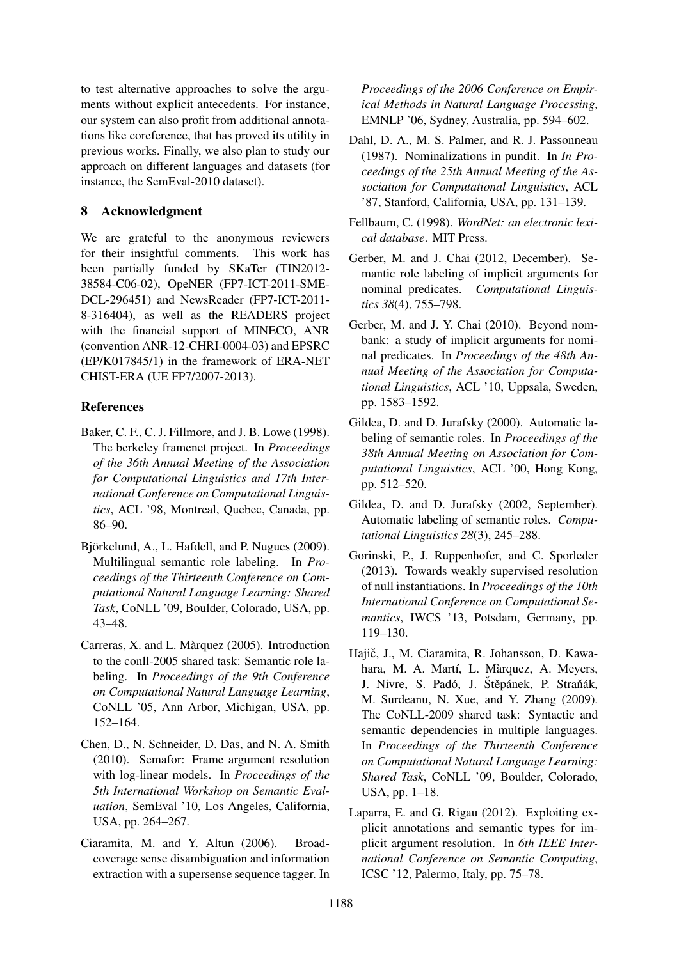to test alternative approaches to solve the arguments without explicit antecedents. For instance, our system can also profit from additional annotations like coreference, that has proved its utility in previous works. Finally, we also plan to study our approach on different languages and datasets (for instance, the SemEval-2010 dataset).

### 8 Acknowledgment

We are grateful to the anonymous reviewers for their insightful comments. This work has been partially funded by SKaTer (TIN2012- 38584-C06-02), OpeNER (FP7-ICT-2011-SME-DCL-296451) and NewsReader (FP7-ICT-2011- 8-316404), as well as the READERS project with the financial support of MINECO, ANR (convention ANR-12-CHRI-0004-03) and EPSRC (EP/K017845/1) in the framework of ERA-NET CHIST-ERA (UE FP7/2007-2013).

## **References**

- Baker, C. F., C. J. Fillmore, and J. B. Lowe (1998). The berkeley framenet project. In *Proceedings of the 36th Annual Meeting of the Association for Computational Linguistics and 17th International Conference on Computational Linguistics*, ACL '98, Montreal, Quebec, Canada, pp. 86–90.
- Björkelund, A., L. Hafdell, and P. Nugues (2009). Multilingual semantic role labeling. In *Proceedings of the Thirteenth Conference on Computational Natural Language Learning: Shared Task*, CoNLL '09, Boulder, Colorado, USA, pp. 43–48.
- Carreras, X. and L. Marquez (2005). Introduction ` to the conll-2005 shared task: Semantic role labeling. In *Proceedings of the 9th Conference on Computational Natural Language Learning*, CoNLL '05, Ann Arbor, Michigan, USA, pp. 152–164.
- Chen, D., N. Schneider, D. Das, and N. A. Smith (2010). Semafor: Frame argument resolution with log-linear models. In *Proceedings of the 5th International Workshop on Semantic Evaluation*, SemEval '10, Los Angeles, California, USA, pp. 264–267.
- Ciaramita, M. and Y. Altun (2006). Broadcoverage sense disambiguation and information extraction with a supersense sequence tagger. In

*Proceedings of the 2006 Conference on Empirical Methods in Natural Language Processing*, EMNLP '06, Sydney, Australia, pp. 594–602.

- Dahl, D. A., M. S. Palmer, and R. J. Passonneau (1987). Nominalizations in pundit. In *In Proceedings of the 25th Annual Meeting of the Association for Computational Linguistics*, ACL '87, Stanford, California, USA, pp. 131–139.
- Fellbaum, C. (1998). *WordNet: an electronic lexical database*. MIT Press.
- Gerber, M. and J. Chai (2012, December). Semantic role labeling of implicit arguments for nominal predicates. *Computational Linguistics 38*(4), 755–798.
- Gerber, M. and J. Y. Chai (2010). Beyond nombank: a study of implicit arguments for nominal predicates. In *Proceedings of the 48th Annual Meeting of the Association for Computational Linguistics*, ACL '10, Uppsala, Sweden, pp. 1583–1592.
- Gildea, D. and D. Jurafsky (2000). Automatic labeling of semantic roles. In *Proceedings of the 38th Annual Meeting on Association for Computational Linguistics*, ACL '00, Hong Kong, pp. 512–520.
- Gildea, D. and D. Jurafsky (2002, September). Automatic labeling of semantic roles. *Computational Linguistics 28*(3), 245–288.
- Gorinski, P., J. Ruppenhofer, and C. Sporleder (2013). Towards weakly supervised resolution of null instantiations. In *Proceedings of the 10th International Conference on Computational Semantics*, IWCS '13, Potsdam, Germany, pp. 119–130.
- Hajič, J., M. Ciaramita, R. Johansson, D. Kawahara, M. A. Martí, L. Màrquez, A. Meyers, J. Nivre, S. Padó, J. Štěpánek, P. Straňák, M. Surdeanu, N. Xue, and Y. Zhang (2009). The CoNLL-2009 shared task: Syntactic and semantic dependencies in multiple languages. In *Proceedings of the Thirteenth Conference on Computational Natural Language Learning: Shared Task*, CoNLL '09, Boulder, Colorado, USA, pp. 1–18.
- Laparra, E. and G. Rigau (2012). Exploiting explicit annotations and semantic types for implicit argument resolution. In *6th IEEE International Conference on Semantic Computing*, ICSC '12, Palermo, Italy, pp. 75–78.